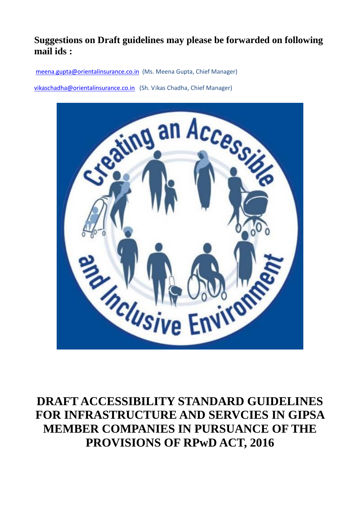# **Suggestions on Draft guidelines may please be forwarded on following mail ids :**

[meena.gupta@orientalinsurance.co.in](mailto:meena.gupta@orientalinsurance.co.in) (Ms. Meena Gupta, Chief Manager)

[vikaschadha@orientalinsurance.co.in](mailto:vikaschadha@orientalinsurance.co.in) (Sh. Vikas Chadha, Chief Manager)



**DRAFT ACCESSIBILITY STANDARD GUIDELINES FOR INFRASTRUCTURE AND SERVCIES IN GIPSA MEMBER COMPANIES IN PURSUANCE OF THE PROVISIONS OF RPwD ACT, 2016**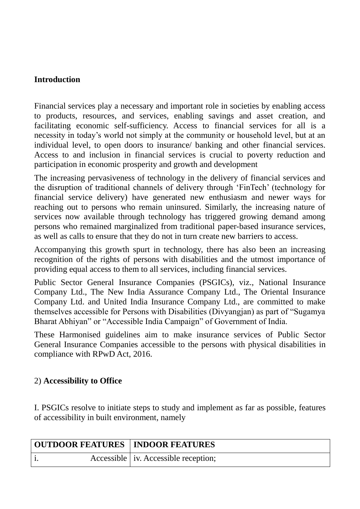### **Introduction**

Financial services play a necessary and important role in societies by enabling access to products, resources, and services, enabling savings and asset creation, and facilitating economic self-sufficiency. Access to financial services for all is a necessity in today's world not simply at the community or household level, but at an individual level, to open doors to insurance/ banking and other financial services. Access to and inclusion in financial services is crucial to poverty reduction and participation in economic prosperity and growth and development

The increasing pervasiveness of technology in the delivery of financial services and the disruption of traditional channels of delivery through 'FinTech' (technology for financial service delivery) have generated new enthusiasm and newer ways for reaching out to persons who remain uninsured. Similarly, the increasing nature of services now available through technology has triggered growing demand among persons who remained marginalized from traditional paper-based insurance services, as well as calls to ensure that they do not in turn create new barriers to access.

Accompanying this growth spurt in technology, there has also been an increasing recognition of the rights of persons with disabilities and the utmost importance of providing equal access to them to all services, including financial services.

Public Sector General Insurance Companies (PSGICs), viz., National Insurance Company Ltd., The New India Assurance Company Ltd., The Oriental Insurance Company Ltd. and United India Insurance Company Ltd., are committed to make themselves accessible for Persons with Disabilities (Divyangjan) as part of "Sugamya Bharat Abhiyan" or "Accessible India Campaign" of Government of India.

These Harmonised guidelines aim to make insurance services of Public Sector General Insurance Companies accessible to the persons with physical disabilities in compliance with RPwD Act, 2016.

### 2) **Accessibility to Office**

I. PSGICs resolve to initiate steps to study and implement as far as possible, features of accessibility in built environment, namely

| <b>OUTDOOR FEATURES   INDOOR FEATURES</b> |  |                                        |
|-------------------------------------------|--|----------------------------------------|
|                                           |  | Accessible   iv. Accessible reception; |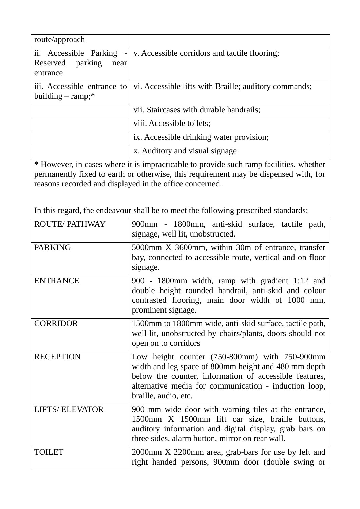| route/approach                                                   |                                                       |
|------------------------------------------------------------------|-------------------------------------------------------|
| ii. Accessible Parking -<br>Reserved parking<br>near<br>entrance | v. Accessible corridors and tactile flooring;         |
| iii. Accessible entrance to<br>building $-$ ramp;*               | vi. Accessible lifts with Braille; auditory commands; |
|                                                                  | vii. Staircases with durable handrails;               |
|                                                                  | viii. Accessible toilets;                             |
|                                                                  | ix. Accessible drinking water provision;              |
|                                                                  | x. Auditory and visual signage                        |

**\*** However, in cases where it is impracticable to provide such ramp facilities, whether permanently fixed to earth or otherwise, this requirement may be dispensed with, for reasons recorded and displayed in the office concerned.

In this regard, the endeavour shall be to meet the following prescribed standards:

| <b>ROUTE/PATHWAY</b>  | 900mm - 1800mm, anti-skid surface, tactile path,<br>signage, well lit, unobstructed.                                                                                                                                                             |
|-----------------------|--------------------------------------------------------------------------------------------------------------------------------------------------------------------------------------------------------------------------------------------------|
| <b>PARKING</b>        | 5000mm X 3600mm, within 30m of entrance, transfer<br>bay, connected to accessible route, vertical and on floor<br>signage.                                                                                                                       |
| <b>ENTRANCE</b>       | 900 - 1800mm width, ramp with gradient 1:12 and<br>double height rounded handrail, anti-skid and colour<br>contrasted flooring, main door width of 1000 mm,<br>prominent signage.                                                                |
| <b>CORRIDOR</b>       | 1500mm to 1800mm wide, anti-skid surface, tactile path,<br>well-lit, unobstructed by chairs/plants, doors should not<br>open on to corridors                                                                                                     |
| <b>RECEPTION</b>      | Low height counter (750-800mm) with 750-900mm<br>width and leg space of 800mm height and 480 mm depth<br>below the counter, information of accessible features,<br>alternative media for communication - induction loop,<br>braille, audio, etc. |
| <b>LIFTS/ELEVATOR</b> | 900 mm wide door with warning tiles at the entrance,<br>1500mm X 1500mm lift car size, braille buttons,<br>auditory information and digital display, grab bars on<br>three sides, alarm button, mirror on rear wall.                             |
| <b>TOILET</b>         | 2000mm X 2200mm area, grab-bars for use by left and<br>right handed persons, 900mm door (double swing or                                                                                                                                         |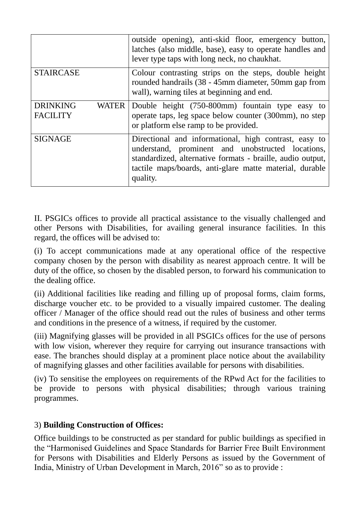|                                                    | outside opening), anti-skid floor, emergency button,<br>latches (also middle, base), easy to operate handles and<br>lever type taps with long neck, no chaukhat.                                                                                |
|----------------------------------------------------|-------------------------------------------------------------------------------------------------------------------------------------------------------------------------------------------------------------------------------------------------|
| <b>STAIRCASE</b>                                   | Colour contrasting strips on the steps, double height<br>rounded handrails (38 - 45mm diameter, 50mm gap from<br>wall), warning tiles at beginning and end.                                                                                     |
| <b>DRINKING</b><br><b>WATER</b><br><b>FACILITY</b> | Double height (750-800mm) fountain type easy to<br>operate taps, leg space below counter (300mm), no step<br>or platform else ramp to be provided.                                                                                              |
| <b>SIGNAGE</b>                                     | Directional and informational, high contrast, easy to<br>understand, prominent and unobstructed locations,<br>standardized, alternative formats - braille, audio output,<br>tactile maps/boards, anti-glare matte material, durable<br>quality. |

II. PSGICs offices to provide all practical assistance to the visually challenged and other Persons with Disabilities, for availing general insurance facilities. In this regard, the offices will be advised to:

(i) To accept communications made at any operational office of the respective company chosen by the person with disability as nearest approach centre. It will be duty of the office, so chosen by the disabled person, to forward his communication to the dealing office.

(ii) Additional facilities like reading and filling up of proposal forms, claim forms, discharge voucher etc. to be provided to a visually impaired customer. The dealing officer / Manager of the office should read out the rules of business and other terms and conditions in the presence of a witness, if required by the customer.

(iii) Magnifying glasses will be provided in all PSGICs offices for the use of persons with low vision, wherever they require for carrying out insurance transactions with ease. The branches should display at a prominent place notice about the availability of magnifying glasses and other facilities available for persons with disabilities.

(iv) To sensitise the employees on requirements of the RPwd Act for the facilities to be provide to persons with physical disabilities; through various training programmes.

### 3) **Building Construction of Offices:**

Office buildings to be constructed as per standard for public buildings as specified in the "Harmonised Guidelines and Space Standards for Barrier Free Built Environment for Persons with Disabilities and Elderly Persons as issued by the Government of India, Ministry of Urban Development in March, 2016" so as to provide :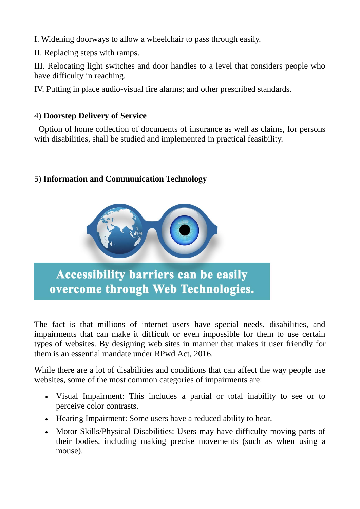I. Widening doorways to allow a wheelchair to pass through easily.

II. Replacing steps with ramps.

III. Relocating light switches and door handles to a level that considers people who have difficulty in reaching.

IV. Putting in place audio-visual fire alarms; and other prescribed standards.

## 4) **Doorstep Delivery of Service**

Option of home collection of documents of insurance as well as claims, for persons with disabilities, shall be studied and implemented in practical feasibility.

## 5) **Information and Communication Technology**



**Accessibility barriers can be easily** overcome through Web Technologies.

The fact is that millions of internet users have special needs, disabilities, and impairments that can make it difficult or even impossible for them to use certain types of websites. By designing web sites in manner that makes it user friendly for them is an essential mandate under RPwd Act, 2016.

While there are a lot of disabilities and conditions that can affect the way people use websites, some of the most common categories of impairments are:

- Visual Impairment: This includes a partial or total inability to see or to perceive color contrasts.
- Hearing Impairment: Some users have a reduced ability to hear.
- Motor Skills/Physical Disabilities: Users may have difficulty moving parts of their bodies, including making precise movements (such as when using a mouse).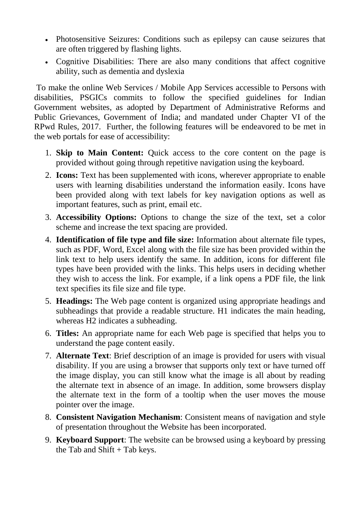- Photosensitive Seizures: Conditions such as epilepsy can cause seizures that are often triggered by flashing lights.
- Cognitive Disabilities: There are also many conditions that affect cognitive ability, such as dementia and dyslexia

To make the online Web Services / Mobile App Services accessible to Persons with disabilities, PSGICs commits to follow the specified guidelines for Indian Government websites, as adopted by Department of Administrative Reforms and Public Grievances, Government of India; and mandated under Chapter VI of the RPwd Rules, 2017. Further, the following features will be endeavored to be met in the web portals for ease of accessibility:

- 1. **Skip to Main Content:** Quick access to the core content on the page is provided without going through repetitive navigation using the keyboard.
- 2. **Icons:** Text has been supplemented with icons, wherever appropriate to enable users with learning disabilities understand the information easily. Icons have been provided along with text labels for key navigation options as well as important features, such as print, email etc.
- 3. **Accessibility Options:** Options to change the size of the text, set a color scheme and increase the text spacing are provided.
- 4. **Identification of file type and file size:** Information about alternate file types, such as PDF, Word, Excel along with the file size has been provided within the link text to help users identify the same. In addition, icons for different file types have been provided with the links. This helps users in deciding whether they wish to access the link. For example, if a link opens a PDF file, the link text specifies its file size and file type.
- 5. **Headings:** The Web page content is organized using appropriate headings and subheadings that provide a readable structure. H1 indicates the main heading, whereas H2 indicates a subheading.
- 6. **Titles:** An appropriate name for each Web page is specified that helps you to understand the page content easily.
- 7. **Alternate Text**: Brief description of an image is provided for users with visual disability. If you are using a browser that supports only text or have turned off the image display, you can still know what the image is all about by reading the alternate text in absence of an image. In addition, some browsers display the alternate text in the form of a tooltip when the user moves the mouse pointer over the image.
- 8. **Consistent Navigation Mechanism**: Consistent means of navigation and style of presentation throughout the Website has been incorporated.
- 9. **Keyboard Support**: The website can be browsed using a keyboard by pressing the Tab and Shift + Tab keys.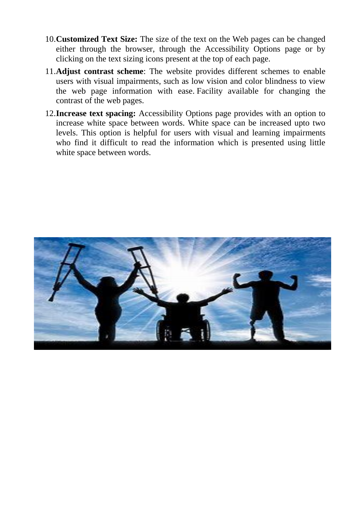- 10.**Customized Text Size:** The size of the text on the Web pages can be changed either through the browser, through the Accessibility Options page or by clicking on the text sizing icons present at the top of each page.
- 11.**Adjust contrast scheme**: The website provides different schemes to enable users with visual impairments, such as low vision and color blindness to view the web page information with ease. Facility available for changing the contrast of the web pages.
- 12.**Increase text spacing:** Accessibility Options page provides with an option to increase white space between words. White space can be increased upto two levels. This option is helpful for users with visual and learning impairments who find it difficult to read the information which is presented using little white space between words.